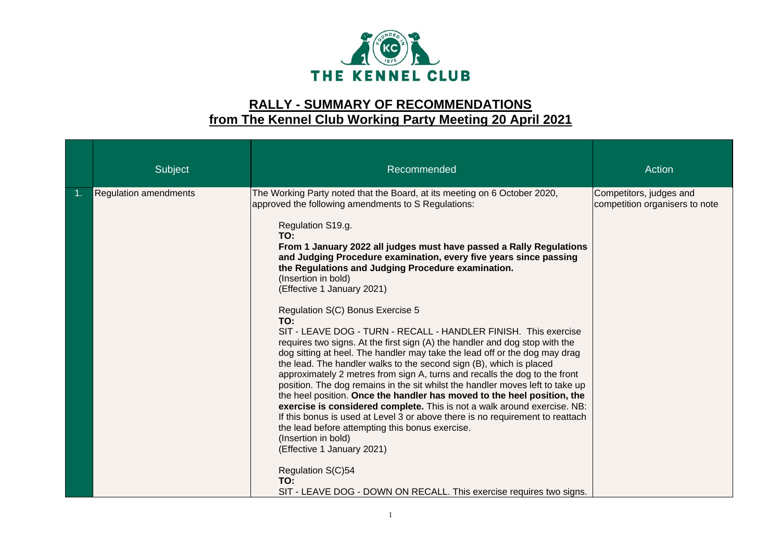

## **RALLY - SUMMARY OF RECOMMENDATIONS from The Kennel Club Working Party Meeting 20 April 2021**

|    | Subject                      | Recommended                                                                                                                                                                                                                                                                                                                                                                                                                                                                                                                                                                                                                                                                                                                                                                                                                                                                                                                                                                                                                                                                                                                                                                                                                                                                                                                                                                             | Action                                                    |
|----|------------------------------|-----------------------------------------------------------------------------------------------------------------------------------------------------------------------------------------------------------------------------------------------------------------------------------------------------------------------------------------------------------------------------------------------------------------------------------------------------------------------------------------------------------------------------------------------------------------------------------------------------------------------------------------------------------------------------------------------------------------------------------------------------------------------------------------------------------------------------------------------------------------------------------------------------------------------------------------------------------------------------------------------------------------------------------------------------------------------------------------------------------------------------------------------------------------------------------------------------------------------------------------------------------------------------------------------------------------------------------------------------------------------------------------|-----------------------------------------------------------|
| 1. | <b>Regulation amendments</b> | The Working Party noted that the Board, at its meeting on 6 October 2020,<br>approved the following amendments to S Regulations:<br>Regulation S19.g.<br>TO:<br>From 1 January 2022 all judges must have passed a Rally Regulations<br>and Judging Procedure examination, every five years since passing<br>the Regulations and Judging Procedure examination.<br>(Insertion in bold)<br>(Effective 1 January 2021)<br>Regulation S(C) Bonus Exercise 5<br>TO:<br>SIT - LEAVE DOG - TURN - RECALL - HANDLER FINISH. This exercise<br>requires two signs. At the first sign (A) the handler and dog stop with the<br>dog sitting at heel. The handler may take the lead off or the dog may drag<br>the lead. The handler walks to the second sign (B), which is placed<br>approximately 2 metres from sign A, turns and recalls the dog to the front<br>position. The dog remains in the sit whilst the handler moves left to take up<br>the heel position. Once the handler has moved to the heel position, the<br>exercise is considered complete. This is not a walk around exercise. NB:<br>If this bonus is used at Level 3 or above there is no requirement to reattach<br>the lead before attempting this bonus exercise.<br>(Insertion in bold)<br>(Effective 1 January 2021)<br>Regulation S(C)54<br>TO:<br>SIT - LEAVE DOG - DOWN ON RECALL. This exercise requires two signs. | Competitors, judges and<br>competition organisers to note |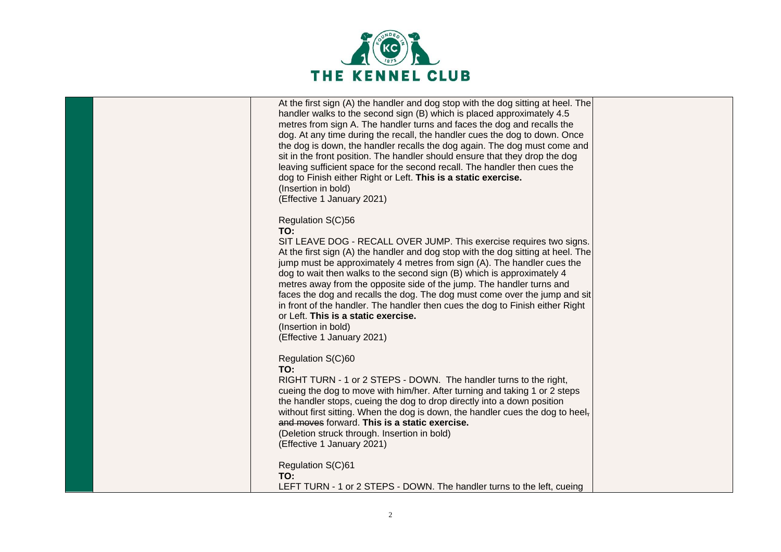

|  | At the first sign (A) the handler and dog stop with the dog sitting at heel. The<br>handler walks to the second sign (B) which is placed approximately 4.5<br>metres from sign A. The handler turns and faces the dog and recalls the<br>dog. At any time during the recall, the handler cues the dog to down. Once<br>the dog is down, the handler recalls the dog again. The dog must come and<br>sit in the front position. The handler should ensure that they drop the dog<br>leaving sufficient space for the second recall. The handler then cues the<br>dog to Finish either Right or Left. This is a static exercise.<br>(Insertion in bold)<br>(Effective 1 January 2021) |  |
|--|-------------------------------------------------------------------------------------------------------------------------------------------------------------------------------------------------------------------------------------------------------------------------------------------------------------------------------------------------------------------------------------------------------------------------------------------------------------------------------------------------------------------------------------------------------------------------------------------------------------------------------------------------------------------------------------|--|
|  | Regulation S(C)56<br>TO:<br>SIT LEAVE DOG - RECALL OVER JUMP. This exercise requires two signs.<br>At the first sign (A) the handler and dog stop with the dog sitting at heel. The<br>jump must be approximately 4 metres from sign (A). The handler cues the<br>dog to wait then walks to the second sign (B) which is approximately 4<br>metres away from the opposite side of the jump. The handler turns and<br>faces the dog and recalls the dog. The dog must come over the jump and sit<br>in front of the handler. The handler then cues the dog to Finish either Right<br>or Left. This is a static exercise.<br>(Insertion in bold)<br>(Effective 1 January 2021)        |  |
|  | Regulation S(C)60<br>TO:<br>RIGHT TURN - 1 or 2 STEPS - DOWN. The handler turns to the right,<br>cueing the dog to move with him/her. After turning and taking 1 or 2 steps<br>the handler stops, cueing the dog to drop directly into a down position<br>without first sitting. When the dog is down, the handler cues the dog to heel-<br>and moves forward. This is a static exercise.<br>(Deletion struck through. Insertion in bold)<br>(Effective 1 January 2021)                                                                                                                                                                                                             |  |
|  | Regulation S(C)61<br>TO:<br>LEFT TURN - 1 or 2 STEPS - DOWN. The handler turns to the left, cueing                                                                                                                                                                                                                                                                                                                                                                                                                                                                                                                                                                                  |  |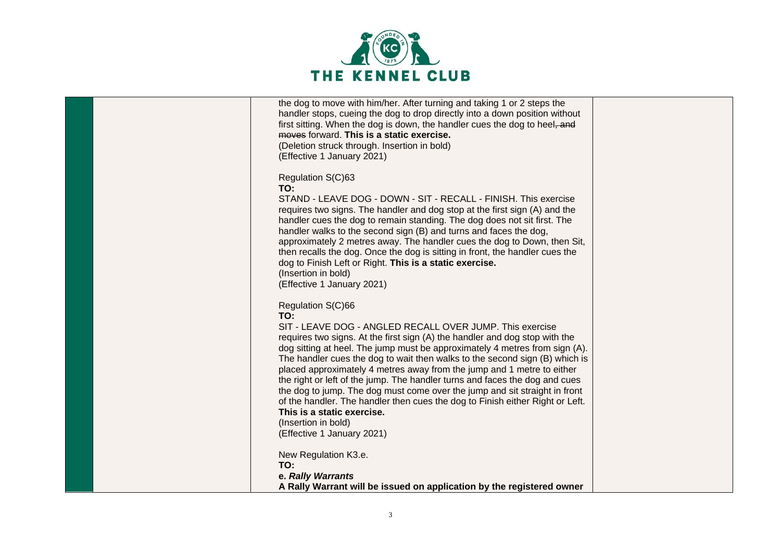

| the dog to move with him/her. After turning and taking 1 or 2 steps the<br>handler stops, cueing the dog to drop directly into a down position without<br>first sitting. When the dog is down, the handler cues the dog to heel, and<br>moves forward. This is a static exercise.<br>(Deletion struck through. Insertion in bold)<br>(Effective 1 January 2021)                                                                                                                                                                                                                                                                                                                                                                              |  |
|----------------------------------------------------------------------------------------------------------------------------------------------------------------------------------------------------------------------------------------------------------------------------------------------------------------------------------------------------------------------------------------------------------------------------------------------------------------------------------------------------------------------------------------------------------------------------------------------------------------------------------------------------------------------------------------------------------------------------------------------|--|
| Regulation S(C)63<br>TO:<br>STAND - LEAVE DOG - DOWN - SIT - RECALL - FINISH. This exercise<br>requires two signs. The handler and dog stop at the first sign (A) and the<br>handler cues the dog to remain standing. The dog does not sit first. The<br>handler walks to the second sign (B) and turns and faces the dog,<br>approximately 2 metres away. The handler cues the dog to Down, then Sit,<br>then recalls the dog. Once the dog is sitting in front, the handler cues the<br>dog to Finish Left or Right. This is a static exercise.<br>(Insertion in bold)<br>(Effective 1 January 2021)                                                                                                                                       |  |
| Regulation S(C)66<br>TO:<br>SIT - LEAVE DOG - ANGLED RECALL OVER JUMP. This exercise<br>requires two signs. At the first sign (A) the handler and dog stop with the<br>dog sitting at heel. The jump must be approximately 4 metres from sign (A).<br>The handler cues the dog to wait then walks to the second sign (B) which is<br>placed approximately 4 metres away from the jump and 1 metre to either<br>the right or left of the jump. The handler turns and faces the dog and cues<br>the dog to jump. The dog must come over the jump and sit straight in front<br>of the handler. The handler then cues the dog to Finish either Right or Left.<br>This is a static exercise.<br>(Insertion in bold)<br>(Effective 1 January 2021) |  |
| New Regulation K3.e.<br>TO:<br>e. Rally Warrants<br>A Rally Warrant will be issued on application by the registered owner                                                                                                                                                                                                                                                                                                                                                                                                                                                                                                                                                                                                                    |  |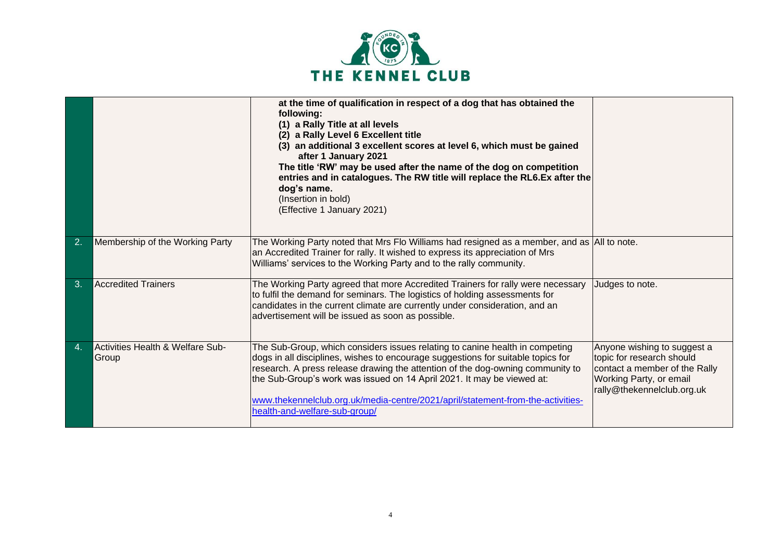

|    |                                           | at the time of qualification in respect of a dog that has obtained the<br>following:<br>(1) a Rally Title at all levels<br>(2) a Rally Level 6 Excellent title<br>(3) an additional 3 excellent scores at level 6, which must be gained<br>after 1 January 2021<br>The title 'RW' may be used after the name of the dog on competition<br>entries and in catalogues. The RW title will replace the RL6.Ex after the<br>dog's name.<br>(Insertion in bold)<br>(Effective 1 January 2021) |                                                                                                                                                    |
|----|-------------------------------------------|-----------------------------------------------------------------------------------------------------------------------------------------------------------------------------------------------------------------------------------------------------------------------------------------------------------------------------------------------------------------------------------------------------------------------------------------------------------------------------------------|----------------------------------------------------------------------------------------------------------------------------------------------------|
| 2. | Membership of the Working Party           | The Working Party noted that Mrs Flo Williams had resigned as a member, and as All to note.<br>an Accredited Trainer for rally. It wished to express its appreciation of Mrs<br>Williams' services to the Working Party and to the rally community.                                                                                                                                                                                                                                     |                                                                                                                                                    |
| 3. | <b>Accredited Trainers</b>                | The Working Party agreed that more Accredited Trainers for rally were necessary<br>to fulfil the demand for seminars. The logistics of holding assessments for<br>candidates in the current climate are currently under consideration, and an<br>advertisement will be issued as soon as possible.                                                                                                                                                                                      | Judges to note.                                                                                                                                    |
| 4. | Activities Health & Welfare Sub-<br>Group | The Sub-Group, which considers issues relating to canine health in competing<br>dogs in all disciplines, wishes to encourage suggestions for suitable topics for<br>research. A press release drawing the attention of the dog-owning community to<br>the Sub-Group's work was issued on 14 April 2021. It may be viewed at:<br>www.thekennelclub.org.uk/media-centre/2021/april/statement-from-the-activities-<br>health-and-welfare-sub-group/                                        | Anyone wishing to suggest a<br>topic for research should<br>contact a member of the Rally<br>Working Party, or email<br>rally@thekennelclub.org.uk |